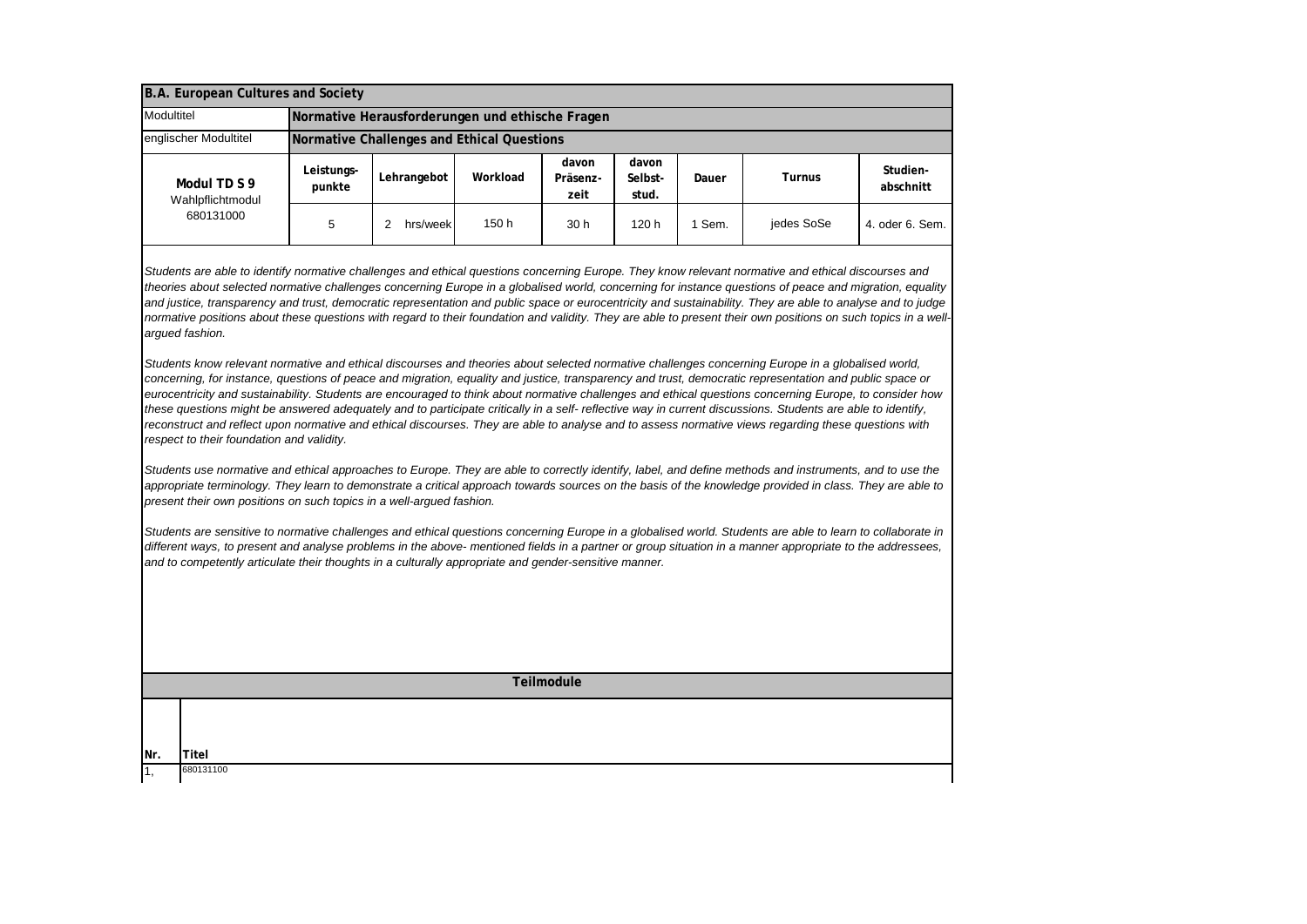| B.A. European Cultures and Society            |                                                 |             |          |                           |                           |       |               |                       |
|-----------------------------------------------|-------------------------------------------------|-------------|----------|---------------------------|---------------------------|-------|---------------|-----------------------|
| Modultitel                                    | Normative Herausforderungen und ethische Fragen |             |          |                           |                           |       |               |                       |
| englischer Modultitel                         | Normative Challenges and Ethical Questions      |             |          |                           |                           |       |               |                       |
| Modul TD S 9<br>Wahlpflichtmodul<br>680131000 | Leistungs-<br>punkte                            | Lehrangebot | Workload | davon<br>Präsenz-<br>zeit | davon<br>Selbst-<br>stud. | Dauer | <b>Turnus</b> | Studien-<br>abschnitt |
|                                               | 5                                               | hrs/week    | 150 h    | 30 h                      | 120h                      | Sem.  | jedes SoSe    | 4. oder 6. Sem.       |

*Students are able to identify normative challenges and ethical questions concerning Europe. They know relevant normative and ethical discourses and theories about selected normative challenges concerning Europe in a globalised world, concerning for instance questions of peace and migration, equality and justice, transparency and trust, democratic representation and public space or eurocentricity and sustainability. They are able to analyse and to judge normative positions about these questions with regard to their foundation and validity. They are able to present their own positions on such topics in a wellargued fashion.*

*Students know relevant normative and ethical discourses and theories about selected normative challenges concerning Europe in a globalised world, concerning, for instance, questions of peace and migration, equality and justice, transparency and trust, democratic representation and public space or eurocentricity and sustainability. Students are encouraged to think about normative challenges and ethical questions concerning Europe, to consider how these questions might be answered adequately and to participate critically in a self- reflective way in current discussions. Students are able to identify, reconstruct and reflect upon normative and ethical discourses. They are able to analyse and to assess normative views regarding these questions with respect to their foundation and validity.*

*Students use normative and ethical approaches to Europe. They are able to correctly identify, label, and define methods and instruments, and to use the appropriate terminology. They learn to demonstrate a critical approach towards sources on the basis of the knowledge provided in class. They are able to present their own positions on such topics in a well-argued fashion.*

*Students are sensitive to normative challenges and ethical questions concerning Europe in a globalised world. Students are able to learn to collaborate in different ways, to present and analyse problems in the above- mentioned fields in a partner or group situation in a manner appropriate to the addressees, and to competently articulate their thoughts in a culturally appropriate and gender-sensitive manner.*

**Teilmodule**

1, **Nr. Titel**

680131100